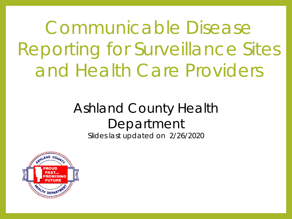Communicable Disease Reporting for Surveillance Sites and Health Care Providers

## Ashland County Health Department

Slides last updated on 2/26/2020

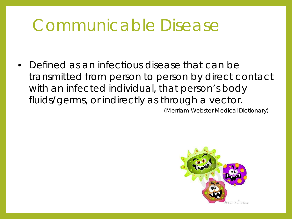### Communicable Disease

• Defined as an infectious disease that can be transmitted from person to person by direct contact with an infected individual, that person's body fluids/germs, or indirectly as through a vector.

(Merriam-Webster Medical Dictionary)

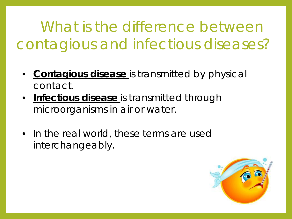What is the difference between contagious and infectious diseases?

- **Contagious disease** is transmitted by physical contact.
- **Infectious disease** is transmitted through microorganisms in air or water.
- In the real world, these terms are used interchangeably.

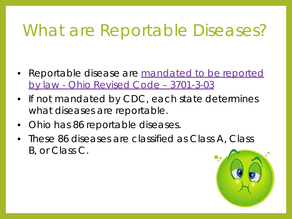## What are Reportable Diseases?

- Reportable disease are mandated to be reported by law - Ohio Revised Code – 3701-3-03
- If not mandated by CDC, each state determines what diseases are reportable.
- Ohio has 86 reportable diseases.
- These 86 diseases are classified as Class A, Class B, or Class C.

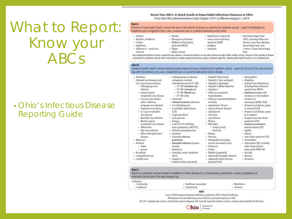What to Report: Know your ABCs

#### • Ohio's Infectious Disease Reporting Guide

#### Know Your ABCs: A Quick Guide to Reportable Infectious Diseases in Ohio From the Ohio Administrative Code Chapter 3701-3: Effective August 1, 2019

#### Class A:

Diseases of major public health concern because of the severity of disease or potential for epidemic spread - report immediately via telephone upon recognition that a case, a suspected case, or a positive laboratory result exists.

· Anthrax · Botulism, foodborne

 $\cdot$  Influenza A - novel virus

· Cholera

· Diphtheria

infection

- - · Meningococcal disease

· Measles

- Plaque

· Rabies, human

· Middle East Respiratory

· Carbapenemase-producing

Enterobacteriaceae (CP-CRE)

· CP-CRE Escherichia coli

- CP-CRE Klebsiella spp.

- CP-CRE Enterobacter spp.

carbapenem-resistant

- CP-CRE other

· Coccidioidomycosis

· Cryptosporidiosis

- E. coli O157:H7 and Shiga

· Ehrlichiosis/anaplasmosis

· Haemophilus influenzae (invasive

· Gonorrhea (Neisseria

gonorrhoege)

diseasel

· Hantavirus

· Cyclosporiasis

· Chancroid

 $(CID)$ 

· Denque

· Giardiasis

- · Severe acute respiratory syndrome (SARS)
- Syndrome (MERS)
	- -
- · Smallpox

· Rubella (not congenital)

- Tularemia
- (VHF), including Ebola virus disease. Lassa fever. Marburo hemorrhagic fever, and
	- Crimean-Congo hemorrhagic fever

· Spotted Fever Rickettsiosis.

spotted fever (RMSF)

· Staphylococcus aureus, with

including Rocky Mountain

resistance or intermediate

vancomycin (VRSA, VISA)

· Streptococcal disease, group

· Streptococcal disease, group

· Streptococcal toxic shock

· Streptococcus pneumoniae,

invasive disease (ISP)

· Toxic shock syndrome (TSS)

· Tuberculosis (TB), including

multi-drug resistant tuberculosis (MDR-TB)

· Salmonellosis

resistance to

A. invasive (IGAS)

B. in newborn

syndrome (STSS)

· Syphilis

· Tetanus

· Trichinellosis

· Varicella

· Vibrinsis

· Yersiniosis

- Shigellosis

- Viral hemorrhagic fever

Any unexpected pattern of cases, suspected cases, deaths or increased incidence of any other disease of major public health concern, because of the severity of disease or potential for epidemic spread, which may indicate a newly recognized infectious agent, outbreak, epidemic, related public health hazard or act of bioterrorism.

#### Class R:

Disease of public health concern needing timely response because of potential for epidemic spread -- report by the end of the next business day after the existence of a case, a suspected case, or a positive laboratory result is known.

#### · Amehiasis

- Arboviral neuroinvasive and
- non-neuroinvasive disease: · Chikungunya virus
- infection
- · Eastern equine
- encephalitis virus disease · LaCrosse virus disease
- (other California
- serogroup virus disease) · Powassan virus disease
- · St. Louis encephalitis
- virus disease
- · West Nile virus infection
- · Western equine
- encephalitis virus disease
- · Yellow fever
- · Zika virus infection · Other arthropod-borne
- diseases
- · Rabesings
- · Botulism
- · infant
- · wound

Class C:

· Brucellosis

- · Campylobacteriosis
- · Candida auris
- · Hemolytic uremic syndrome  $(HUS)$ · Hepatitis A
- - Hepatitis B (non-perinatal)
- · Hepatitis E · Influenza-associated
- hospitalization

- Hepatitis B (perinatal)

· Hepatitis C (perinatal)

· Hepatitis C (non-perinatal)

· Hepatitis D (delta hepatitis)

- · Influenza-associated pediatric
- · Chlamydia trachomatis infections mortality
- · Legionnaires' disease · Creutzfeldt-Jakob disease
	- Leprosy (Hansen disease) · Leptospirosis
	- · Listeriosis
	- · Lyme disease
	- · Malaria
- Meningitis: toxin-producing E. coli (STEC)
	- · Aseptic (viral)
	- · Bacterial
	- Mumps
	- Pertussis · Poliomvelitis (including
	- vaccine-associated cases)
	- · Psittacosis
	- Q fever
	- · Rubella (congenital)
	- - - (typhoid fever)
- 
- 
- · Salmonella Typhi infection
	-
	-
	-
	-
- 
- · Salmonella Paratyphi infection
	-
	-
	-
- -

Report an outbreak, unusual incident or epidemic of other diseases (e.g. histoplasmosis, pediculosis, scabies, staphylococcal infections) by the end of the next business day.

Outbreaks: - Community · Healthcare-associated - Waterborne · Institutional · Zoonotic · Foodborne

**NOTE:** 

Cases of AIDS (acquired immune deficiency syndrome), AIDS-related conditions,

HIV (human immunodeficiency virus) infection, perinatal exposure to HIV,

all CD4 T-lymphocyte counts and all tests used to diagnose HIV must be reported on forms and in a manner prescribed by the Director.



Department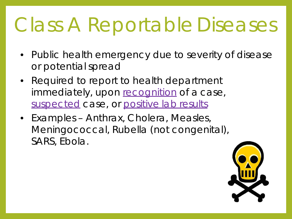# Class A Reportable Diseases

- Public health emergency due to severity of disease or potential spread
- Required to report to health department immediately, upon recognition of a case, suspected case, or positive lab results
- Examples Anthrax, Cholera, Measles, Meningococcal, Rubella (not congenital), SARS, Ebola.

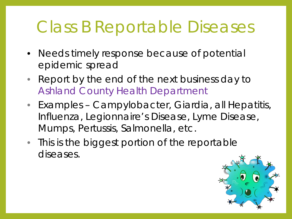### Class B Reportable Diseases

- Needs timely response because of potential epidemic spread
- Report by the end of the next business day to Ashland County Health Department
- Examples Campylobacter, Giardia, all Hepatitis, Influenza, Legionnaire's Disease, Lyme Disease, Mumps, Pertussis, Salmonella, etc.
- This is the biggest portion of the reportable diseases.

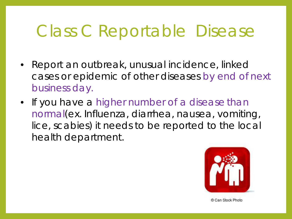## Class C Reportable Disease

- Report an outbreak, unusual incidence, linked cases or epidemic of other diseases by end of next business day.
- If you have a higher number of a disease than normal(ex. Influenza, diarrhea, nausea, vomiting, lice, scabies) it needs to be reported to the local health department.



© Can Stock Photo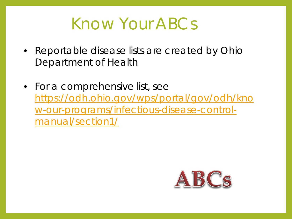#### Know Your ABCs

- Reportable disease lists are created by Ohio Department of Health
- For a comprehensive list, see [https://odh.ohio.gov/wps/portal/gov/odh/kno](https://odh.ohio.gov/wps/portal/gov/odh/know-our-programs/infectious-disease-control-manual/section1/) w-our-programs/infectious-disease-controlmanual/section1/

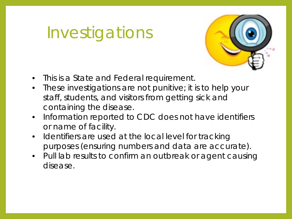## Investigations



- This is a State and Federal requirement.
- These investigations are not punitive; it is to help your staff, students, and visitors from getting sick and containing the disease.
- Information reported to CDC does not have identifiers or name of facility.
- Identifiers are used at the local level for tracking purposes (ensuring numbers and data are accurate).
- Pull lab results to confirm an outbreak or agent causing disease.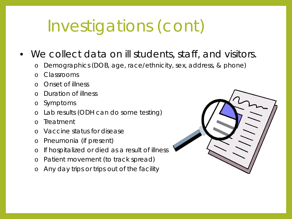# Investigations (cont)

- We collect data on ill students, staff, and visitors.
	- o Demographics (DOB, age, race/ethnicity, sex, address, & phone)
	- Classrooms
	- o Onset of illness
	- o Duration of illness
	- o Symptoms
	- Lab results (ODH can do some testing)
	- o Treatment
	- o Vaccine status for disease
	- o Pneumonia (if present)
	- o If hospitalized or died as a result of illness
	- o Patient movement (to track spread)
	- Any day trips or trips out of the facility

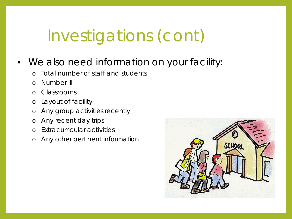## Investigations (cont)

- We also need information on your facility:
	- o Total number of staff and students
	- o Number ill
	- o Classrooms
	- o Layout of facility
	- o Any group activities recently
	- o Any recent day trips
	- o Extracurricular activities
	- o Any other pertinent information

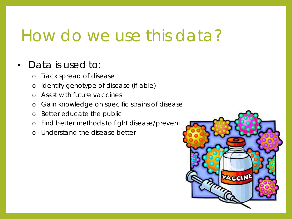#### How do we use this data?

#### • Data is used to:

- o Track spread of disease
- o Identify genotype of disease (if able)
- o Assist with future vaccines
- o Gain knowledge on specific strains of disease
- o Better educate the public
- o Find better methods to fight disease/prevent
- o Understand the disease better

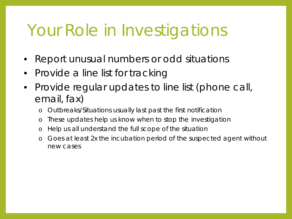### Your Role in Investigations

- Report unusual numbers or odd situations
- Provide a line list for tracking
- Provide regular updates to line list (phone call, email, fax)
	- o Outbreaks/Situations usually last past the first notification
	- o These updates help us know when to stop the investigation
	- o Help us all understand the full scope of the situation
	- o Goes at least 2x the incubation period of the suspected agent without new cases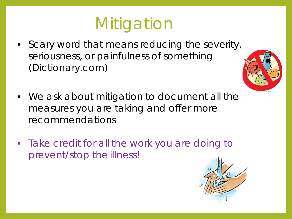# **Mitigation**

• Scary word that means reducing the severity, seriousness, or painfulness of something (Dictionary.com)



- We ask about mitigation to document all the measures you are taking and offer more recommendations
- Take credit for all the work you are doing to prevent/stop the illness!

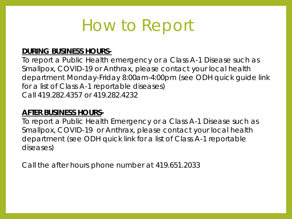### How to Report

#### **DURING BUSINESS HOURS-**

To report a Public Health emergency or a Class A-1 Disease such as Smallpox, COVID-19 or Anthrax, please contact your local health department Monday-Friday 8:00am-4:00pm (see ODH quick guide link for a list of Class A-1 reportable diseases) Call 419.282.4357 or 419.282.4232

#### **AFTER BUSINESS HOURS-**

To report a Public Health Emergency or a Class A-1 Disease such as Smallpox, COVID-19 or Anthrax, please contact your local health department (see ODH quick link for a list of Class A-1 reportable diseases)

Call the after hours phone number at 419.651.2033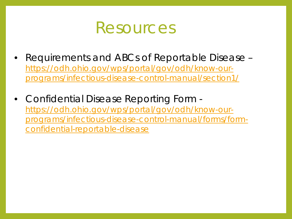

- Requirements and ABCs of Reportable Disease https://odh.ohio.gov/wps/portal/gov/odh/know-our[programs/infectious-disease-control-manual/section1/](https://odh.ohio.gov/wps/portal/gov/odh/know-our-programs/infectious-disease-control-manual/section1/)
- Confidential Disease Reporting Form https://odh.ohio.gov/wps/portal/gov/odh/know-our[programs/infectious-disease-control-manual/forms/form](https://odh.ohio.gov/wps/portal/gov/odh/know-our-programs/infectious-disease-control-manual/forms/form-confidential-reportable-disease)confidential-reportable-disease